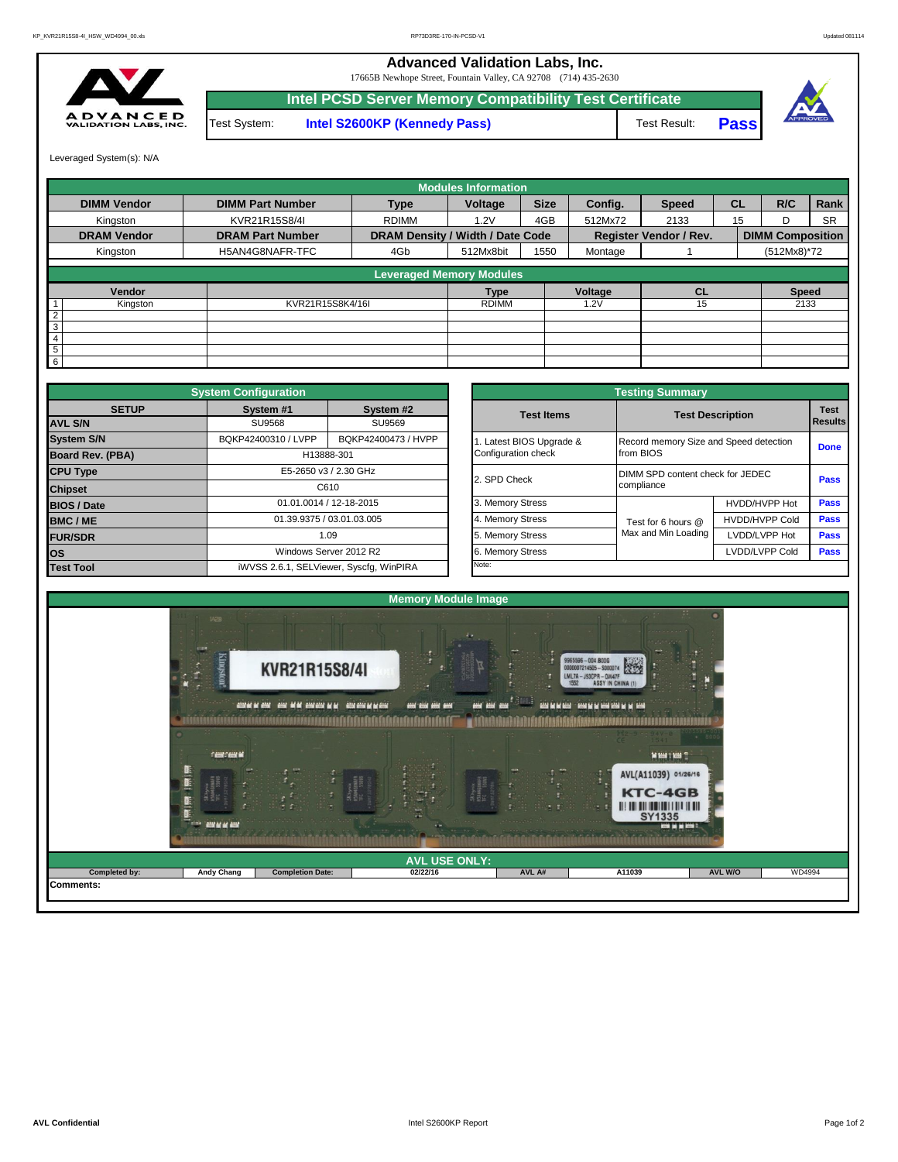**Advanced Validation Labs, Inc.** 

17665B Newhope Street, Fountain Valley, CA 92708 (714) 435-2630



Test System: **Intel S2600KP (Kennedy Pass)** Test Result: **Intel PCSD Server Memory Compatibility Test Certificate Pass**



Leveraged System(s): N/A

|                    |                         |                                  | <b>Modules Information</b> |             |         |                               |           |                         |           |
|--------------------|-------------------------|----------------------------------|----------------------------|-------------|---------|-------------------------------|-----------|-------------------------|-----------|
| <b>DIMM Vendor</b> | <b>DIMM Part Number</b> | <b>Type</b>                      | Voltage                    | <b>Size</b> | Config. | <b>Speed</b>                  | <b>CL</b> | R/C                     | Rank      |
| Kingston           | KVR21R15S8/4I           | <b>RDIMM</b>                     | 1.2V                       | 4GB         | 512Mx72 | 2133                          | 15        | D                       | <b>SR</b> |
| <b>DRAM Vendor</b> | <b>DRAM Part Number</b> | DRAM Density / Width / Date Code |                            |             |         | <b>Register Vendor / Rev.</b> |           | <b>DIMM Composition</b> |           |
| Kingston           | H5AN4G8NAFR-TFC         | 4Gb                              | 512Mx8bit                  | 1550        | Montage |                               |           | (512Mx8)*72             |           |
|                    |                         | <b>Leveraged Memory Modules</b>  |                            |             |         |                               |           |                         |           |
| Vendor             |                         |                                  | <b>Type</b>                |             | Voltage | <b>CL</b>                     |           | <b>Speed</b>            |           |
| Kingston           | KVR21R15S8K4/16I        |                                  | <b>RDIMM</b>               |             | .2V     | 15                            |           | 2133                    |           |
| $\overline{2}$     |                         |                                  |                            |             |         |                               |           |                         |           |
| 3                  |                         |                                  |                            |             |         |                               |           |                         |           |
| 4                  |                         |                                  |                            |             |         |                               |           |                         |           |
| 5                  |                         |                                  |                            |             |         |                               |           |                         |           |
| 6                  |                         |                                  |                            |             |         |                               |           |                         |           |

|                                          | <b>System Configuration</b> |                                         |  |                       | <b>Testing Summary</b>                 |                                  |             |  |  |  |  |
|------------------------------------------|-----------------------------|-----------------------------------------|--|-----------------------|----------------------------------------|----------------------------------|-------------|--|--|--|--|
| <b>SETUP</b>                             | System #1<br>System #2      |                                         |  | <b>Test Items</b>     |                                        | <b>Test Description</b>          |             |  |  |  |  |
| <b>AVL S/N</b>                           | SU9568                      | SU9569                                  |  |                       |                                        | <b>Results</b>                   |             |  |  |  |  |
| <b>System S/N</b>                        | BQKP42400310 / LVPP         | BQKP42400473 / HVPP                     |  | Latest BIOS Upgrade & | Record memory Size and Speed detection |                                  | <b>Done</b> |  |  |  |  |
| <b>Board Rev. (PBA)</b>                  |                             | H13888-301                              |  | Configuration check   | from BIOS                              |                                  |             |  |  |  |  |
| <b>CPU Type</b><br>E5-2650 v3 / 2.30 GHz |                             |                                         |  | 2. SPD Check          |                                        | DIMM SPD content check for JEDEC |             |  |  |  |  |
| <b>Chipset</b>                           | C610                        |                                         |  |                       | compliance                             |                                  |             |  |  |  |  |
| <b>BIOS / Date</b>                       |                             | 01.01.0014 / 12-18-2015                 |  | 3. Memory Stress      |                                        | HVDD/HVPP Hot                    | <b>Pass</b> |  |  |  |  |
| <b>BMC/ME</b>                            |                             | 01.39.9375 / 03.01.03.005               |  | 4. Memory Stress      | Test for 6 hours @                     | <b>HVDD/HVPP Cold</b>            | <b>Pass</b> |  |  |  |  |
| <b>FUR/SDR</b>                           |                             | 1.09                                    |  | 5. Memory Stress      | Max and Min Loading                    | LVDD/LVPP Hot                    | Pass        |  |  |  |  |
| <b>los</b>                               |                             | Windows Server 2012 R2                  |  | 6. Memory Stress      |                                        | LVDD/LVPP Cold                   |             |  |  |  |  |
| <b>Test Tool</b>                         |                             | iWVSS 2.6.1, SELViewer, Syscfq, WinPIRA |  | Note:                 |                                        |                                  |             |  |  |  |  |

|              | <b>System Configuration</b> |                                         |                       | <b>Testing Summary</b>                 |                       |                               |  |  |
|--------------|-----------------------------|-----------------------------------------|-----------------------|----------------------------------------|-----------------------|-------------------------------|--|--|
| <b>SETUP</b> | System #1                   | System #2                               | <b>Test Items</b>     | <b>Test Description</b>                |                       | <b>Test</b><br><b>Results</b> |  |  |
|              | <b>SU9568</b>               | SU9569                                  |                       |                                        |                       |                               |  |  |
|              | BQKP42400310 / LVPP         | BQKP42400473 / HVPP                     | Latest BIOS Upgrade & | Record memory Size and Speed detection |                       |                               |  |  |
| PBA)         |                             | H13888-301                              | Configuration check   | from BIOS                              |                       |                               |  |  |
|              |                             | E5-2650 v3 / 2.30 GHz                   | 2. SPD Check          | DIMM SPD content check for JEDEC       | Pass                  |                               |  |  |
|              |                             | C610                                    |                       | compliance                             |                       |                               |  |  |
|              |                             | 01.01.0014 / 12-18-2015                 | 3. Memory Stress      |                                        | HVDD/HVPP Hot         | Pass                          |  |  |
|              |                             | 01.39.9375 / 03.01.03.005               | 4. Memory Stress      | Test for 6 hours @                     | <b>HVDD/HVPP Cold</b> | Pass                          |  |  |
|              |                             | 1.09                                    | 5. Memory Stress      | Max and Min Loading                    | LVDD/LVPP Hot         | Pass                          |  |  |
|              |                             | Windows Server 2012 R2                  | 6. Memory Stress      |                                        | LVDD/LVPP Cold        | <b>Pass</b>                   |  |  |
|              |                             | iWVSS 2.6.1, SELViewer, Syscfq, WinPIRA | Note:                 |                                        |                       |                               |  |  |